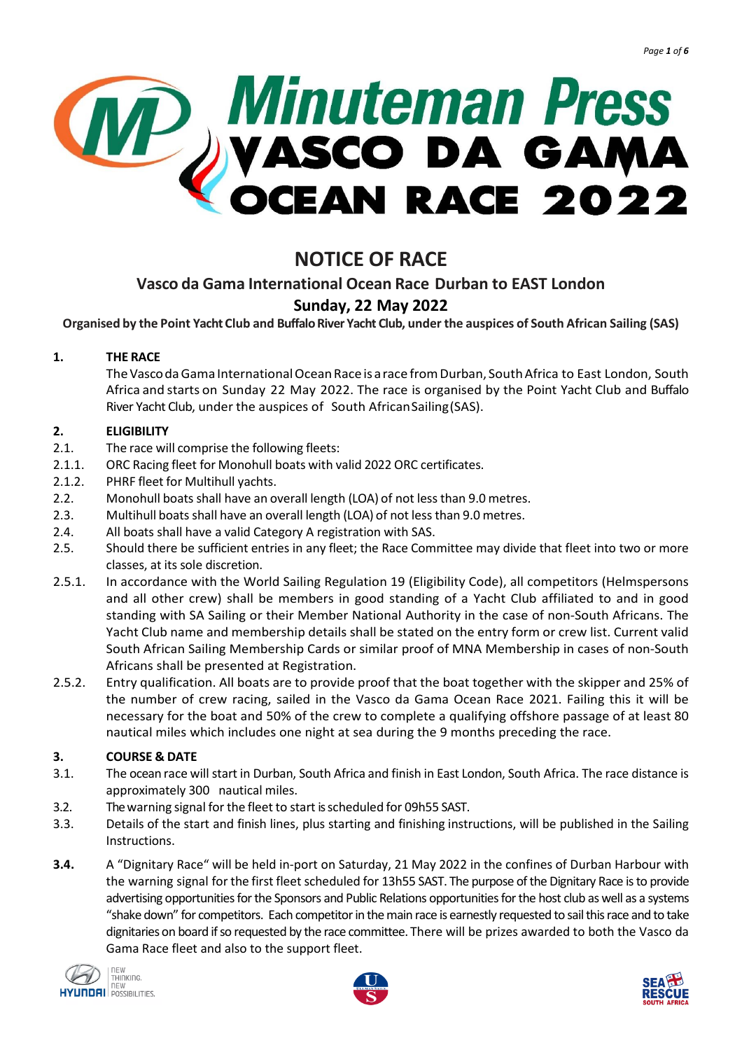

# **NOTICE OF RACE**

# **Vasco da Gama International Ocean Race Durban to EAST London**

# **Sunday, 22 May 2022**

Organised by the Point Yacht Club and Buffalo River Yacht Club, under the auspices of South African Sailing (SAS)

# **1. THE RACE**

TheVascodaGama InternationalOceanRace is arace fromDurban, SouthAfrica to East London, South Africa and starts on Sunday 22 May 2022. The race is organised by the Point Yacht Club and Buffalo River Yacht Club, under the auspices of South AfricanSailing(SAS).

# **2. ELIGIBILITY**

- 2.1. The race will comprise the following fleets:
- 2.1.1. ORC Racing fleet for Monohull boats with valid 2022 ORC certificates.
- 2.1.2. PHRF fleet for Multihull yachts.
- 2.2. Monohull boats shall have an overall length (LOA) of not less than 9.0 metres.
- 2.3. Multihull boats shall have an overall length (LOA) of not less than 9.0 metres.
- 2.4. All boats shall have a valid Category A registration with SAS.
- 2.5. Should there be sufficient entries in any fleet; the Race Committee may divide that fleet into two or more classes, at its sole discretion.
- 2.5.1. In accordance with the World Sailing Regulation 19 (Eligibility Code), all competitors (Helmspersons and all other crew) shall be members in good standing of a Yacht Club affiliated to and in good standing with SA Sailing or their Member National Authority in the case of non-South Africans. The Yacht Club name and membership details shall be stated on the entry form or crew list. Current valid South African Sailing Membership Cards or similar proof of MNA Membership in cases of non-South Africans shall be presented at Registration.
- 2.5.2. Entry qualification. All boats are to provide proof that the boat together with the skipper and 25% of the number of crew racing, sailed in the Vasco da Gama Ocean Race 2021. Failing this it will be necessary for the boat and 50% of the crew to complete a qualifying offshore passage of at least 80 nautical miles which includes one night at sea during the 9 months preceding the race.

# **3. COURSE & DATE**

- 3.1. The ocean race will start in Durban, South Africa and finish in East London, South Africa. The race distance is approximately 300 nautical miles.
- 3.2. Thewarning signal for the fleet to start isscheduled for 09h55 SAST.
- 3.3. Details of the start and finish lines, plus starting and finishing instructions, will be published in the Sailing Instructions.
- **3.4.** A "Dignitary Race" will be held in-port on Saturday, 21 May 2022 in the confines of Durban Harbour with the warning signal for the first fleet scheduled for 13h55 SAST. The purpose of the Dignitary Race is to provide advertising opportunities for the Sponsors and Public Relations opportunities for the host club as well as a systems "shake down" for competitors. Each competitor in the main race is earnestly requested to sail this race and to take dignitaries on board ifso requested by the race committee. There will be prizes awarded to both the Vasco da Gama Race fleet and also to the support fleet.





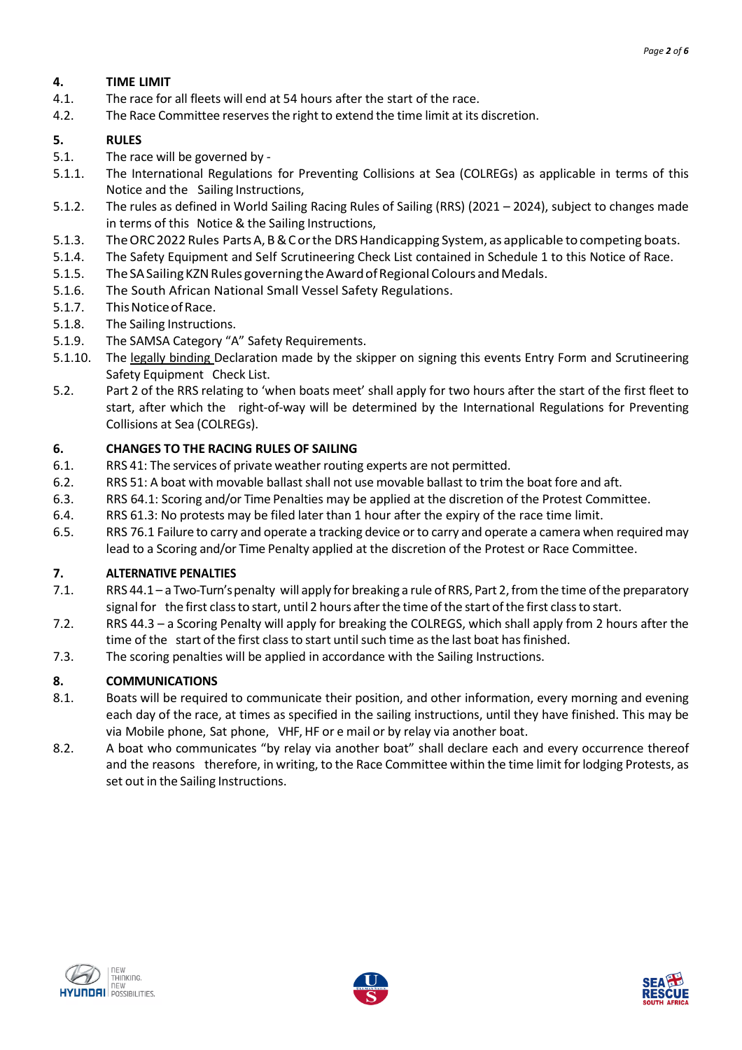# **4. TIME LIMIT**

- 4.1. The race for all fleets will end at 54 hours after the start of the race.
- 4.2. The Race Committee reservesthe right to extend the time limit at its discretion.

# **5. RULES**

- 5.1. The race will be governed by -
- 5.1.1. The International Regulations for Preventing Collisions at Sea (COLREGs) as applicable in terms of this Notice and the Sailing Instructions,
- 5.1.2. The rules as defined in World Sailing Racing Rules of Sailing (RRS) (2021 2024), subject to changes made in terms of this Notice & the Sailing Instructions,
- 5.1.3. The ORC 2022 Rules Parts A, B & C or the DRS Handicapping System, as applicable to competing boats.
- 5.1.4. The Safety Equipment and Self Scrutineering Check List contained in Schedule 1 to this Notice of Race.
- 5.1.5. The SA Sailing KZN Rules governing the Award of Regional Colours and Medals.
- 5.1.6. The South African National Small Vessel Safety Regulations.
- 5.1.7. This Notice of Race.
- 5.1.8. The Sailing Instructions.
- 5.1.9. The SAMSA Category "A" Safety Requirements.
- 5.1.10. The legally binding Declaration made by the skipper on signing this events Entry Form and Scrutineering Safety Equipment Check List.
- 5.2. Part 2 of the RRS relating to 'when boats meet' shall apply for two hours after the start of the first fleet to start, after which the right-of-way will be determined by the International Regulations for Preventing Collisions at Sea (COLREGs).

# **6. CHANGES TO THE RACING RULES OF SAILING**

- 6.1. RRS 41: The services of private weather routing experts are not permitted.
- 6.2. RRS 51: A boat with movable ballastshall not use movable ballast to trim the boat fore and aft.
- 6.3. RRS 64.1: Scoring and/or Time Penalties may be applied at the discretion of the Protest Committee.
- 6.4. RRS 61.3: No protests may be filed later than 1 hour after the expiry of the race time limit.
- 6.5. RRS 76.1 Failure to carry and operate a tracking device orto carry and operate a camera when requiredmay lead to a Scoring and/or Time Penalty applied at the discretion of the Protest or Race Committee.

# **7. ALTERNATIVE PENALTIES**

- 7.1. RRS 44.1 a Two-Turn's penalty will apply for breaking a rule of RRS, Part 2, from the time of the preparatory signal for the first class to start, until 2 hours after the time of the start of the first class to start.
- 7.2. RRS 44.3 a Scoring Penalty will apply for breaking the COLREGS, which shall apply from 2 hours after the time of the start of the first class to start until such time as the last boat has finished.
- 7.3. The scoring penalties will be applied in accordance with the Sailing Instructions.

# **8. COMMUNICATIONS**

- 8.1. Boats will be required to communicate their position, and other information, every morning and evening each day of the race, at times as specified in the sailing instructions, until they have finished. This may be via Mobile phone, Sat phone, VHF, HF or e mail or by relay via another boat.
- 8.2. A boat who communicates "by relay via another boat" shall declare each and every occurrence thereof and the reasons therefore, in writing, to the Race Committee within the time limit for lodging Protests, as set out in the Sailing Instructions.





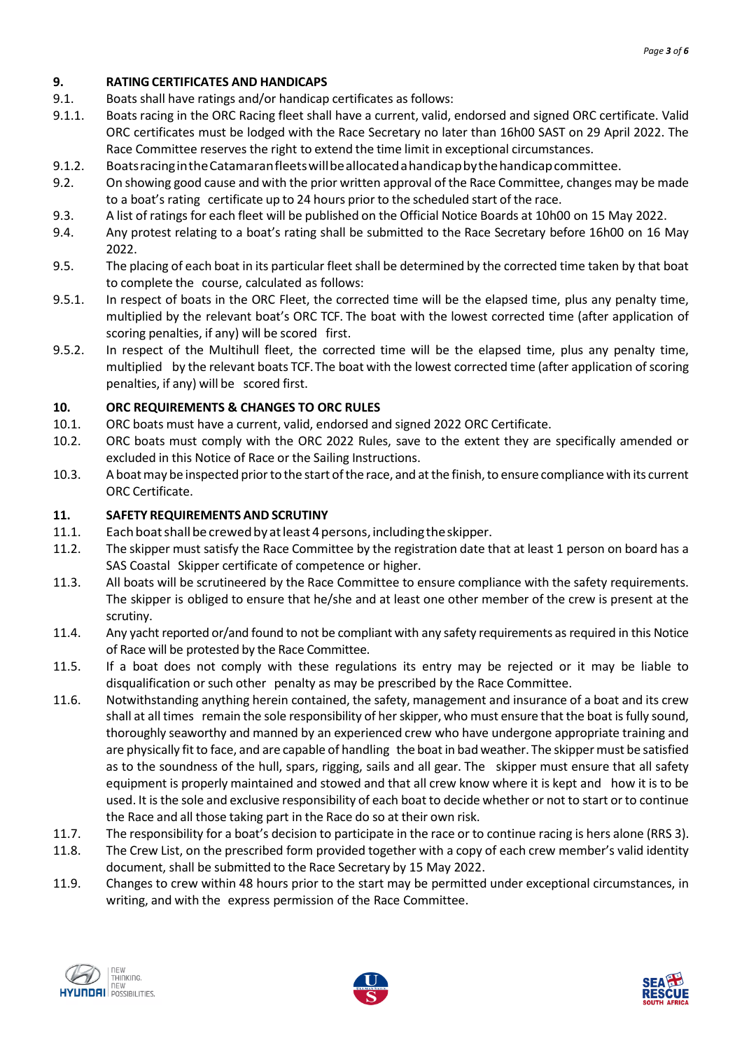# **9. RATING CERTIFICATES AND HANDICAPS**

- 9.1. Boats shall have ratings and/or handicap certificates as follows:
- 9.1.1. Boats racing in the ORC Racing fleet shall have a current, valid, endorsed and signed ORC certificate. Valid ORC certificates must be lodged with the Race Secretary no later than 16h00 SAST on 29 April 2022. The Race Committee reserves the right to extend the time limit in exceptional circumstances.
- 9.1.2. BoatsracingintheCatamaranfleetswillbeallocatedahandicapbythehandicapcommittee.
- 9.2. On showing good cause and with the prior written approval of the Race Committee, changes may be made to a boat's rating certificate up to 24 hours prior to the scheduled start of the race.
- 9.3. A list of ratings for each fleet will be published on the Official Notice Boards at 10h00 on 15 May 2022.
- 9.4. Any protest relating to a boat's rating shall be submitted to the Race Secretary before 16h00 on 16 May 2022.
- 9.5. The placing of each boat in its particular fleet shall be determined by the corrected time taken by that boat to complete the course, calculated as follows:
- 9.5.1. In respect of boats in the ORC Fleet, the corrected time will be the elapsed time, plus any penalty time, multiplied by the relevant boat's ORC TCF. The boat with the lowest corrected time (after application of scoring penalties, if any) will be scored first.
- 9.5.2. In respect of the Multihull fleet, the corrected time will be the elapsed time, plus any penalty time, multiplied by the relevant boats TCF.The boat with the lowest corrected time (after application ofscoring penalties, if any) will be scored first.

#### **10. ORC REQUIREMENTS & CHANGES TO ORC RULES**

- 10.1. ORC boats must have a current, valid, endorsed and signed 2022 ORC Certificate.
- 10.2. ORC boats must comply with the ORC 2022 Rules, save to the extent they are specifically amended or excluded in this Notice of Race or the Sailing Instructions.
- 10.3. A boat may be inspected prior to the start of the race, and at the finish, to ensure compliance with its current ORC Certificate.

#### **11. SAFETY REQUIREMENTS AND SCRUTINY**

- 11.1. Eachboatshallbecrewedby atleast4persons, includingtheskipper.
- 11.2. The skipper must satisfy the Race Committee by the registration date that at least 1 person on board has a SAS Coastal Skipper certificate of competence or higher.
- 11.3. All boats will be scrutineered by the Race Committee to ensure compliance with the safety requirements. The skipper is obliged to ensure that he/she and at least one other member of the crew is present at the scrutiny.
- 11.4. Any yacht reported or/and found to not be compliant with any safety requirements asrequired in this Notice of Race will be protested by the Race Committee.
- 11.5. If a boat does not comply with these regulations its entry may be rejected or it may be liable to disqualification or such other penalty as may be prescribed by the Race Committee.
- 11.6. Notwithstanding anything herein contained, the safety, management and insurance of a boat and its crew shall at all times remain the sole responsibility of herskipper, who must ensure that the boat isfully sound, thoroughly seaworthy and manned by an experienced crew who have undergone appropriate training and are physically fit to face, and are capable of handling the boat in bad weather. The skipper must be satisfied as to the soundness of the hull, spars, rigging, sails and all gear. The skipper must ensure that all safety equipment is properly maintained and stowed and that all crew know where it is kept and how it is to be used. It isthe sole and exclusive responsibility of each boat to decide whether or not to start orto continue the Race and all those taking part in the Race do so at their own risk.
- 11.7. The responsibility for a boat's decision to participate in the race or to continue racing is hers alone (RRS 3).
- 11.8. The Crew List, on the prescribed form provided together with a copy of each crew member's valid identity document, shall be submitted to the Race Secretary by 15 May 2022.
- 11.9. Changes to crew within 48 hours prior to the start may be permitted under exceptional circumstances, in writing, and with the express permission of the Race Committee.





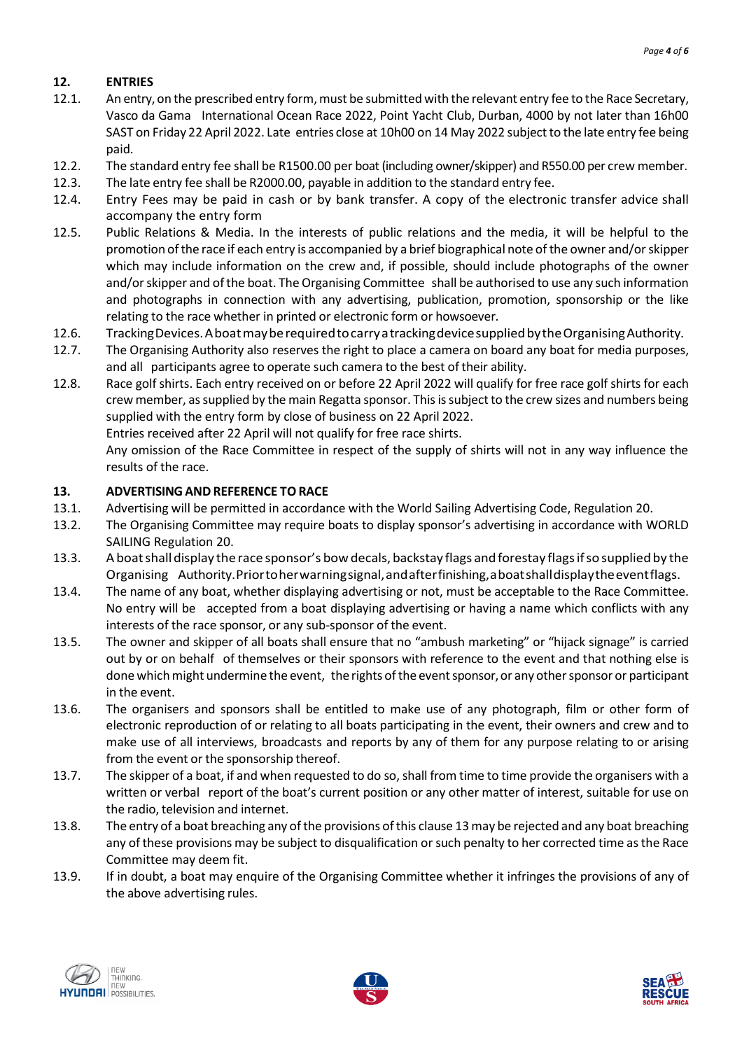# **12. ENTRIES**

- 12.1. An entry, on the prescribed entry form, must be submitted with the relevant entry fee to the Race Secretary, Vasco da Gama International Ocean Race 2022, Point Yacht Club, Durban, 4000 by not later than 16h00 SAST on Friday 22 April 2022. Late entries close at 10h00 on 14 May 2022 subjectto the late entry fee being paid.
- 12.2. The standard entry fee shall be R1500.00 per boat(including owner/skipper) and R550.00 per crew member.
- 12.3. The late entry fee shall be R2000.00, payable in addition to the standard entry fee.
- 12.4. Entry Fees may be paid in cash or by bank transfer. A copy of the electronic transfer advice shall accompany the entry form
- 12.5. Public Relations & Media. In the interests of public relations and the media, it will be helpful to the promotion ofthe race if each entry is accompanied by a brief biographical note of the owner and/orskipper which may include information on the crew and, if possible, should include photographs of the owner and/or skipper and of the boat. The Organising Committee shall be authorised to use any such information and photographs in connection with any advertising, publication, promotion, sponsorship or the like relating to the race whether in printed or electronic form or howsoever.
- 12.6. TrackingDevices.AboatmayberequiredtocarryatrackingdevicesuppliedbytheOrganisingAuthority.
- 12.7. The Organising Authority also reserves the right to place a camera on board any boat for media purposes, and all participants agree to operate such camera to the best of their ability.
- 12.8. Race golf shirts. Each entry received on or before 22 April 2022 will qualify for free race golf shirts for each crew member, as supplied by the main Regatta sponsor. This is subject to the crew sizes and numbers being supplied with the entry form by close of business on 22 April 2022.

Entries received after 22 April will not qualify for free race shirts.

Any omission of the Race Committee in respect of the supply of shirts will not in any way influence the results of the race.

# **13. ADVERTISINGAND REFERENCE TORACE**

- 13.1. Advertising will be permitted in accordance with the World Sailing Advertising Code, Regulation 20.
- 13.2. The Organising Committee may require boats to display sponsor's advertising in accordance with WORLD SAILING Regulation 20.
- 13.3. Aboatshalldisplay the race sponsor's bowdecals, backstay flags andforestay flagsifso supplied by the Organising Authority.Priortoherwarningsignal,andafterfinishing,aboatshalldisplaytheeventflags.
- 13.4. The name of any boat, whether displaying advertising or not, must be acceptable to the Race Committee. No entry will be accepted from a boat displaying advertising or having a name which conflicts with any interests of the race sponsor, or any sub-sponsor of the event.
- 13.5. The owner and skipper of all boats shall ensure that no "ambush marketing" or "hijack signage" is carried out by or on behalf of themselves or their sponsors with reference to the event and that nothing else is done which might undermine the event, the rights of the event sponsor, or any other sponsor or participant in the event.
- 13.6. The organisers and sponsors shall be entitled to make use of any photograph, film or other form of electronic reproduction of or relating to all boats participating in the event, their owners and crew and to make use of all interviews, broadcasts and reports by any of them for any purpose relating to or arising from the event or the sponsorship thereof.
- 13.7. The skipper of a boat, if and when requested to do so, shall from time to time provide the organisers with a written or verbal report of the boat's current position or any other matter of interest, suitable for use on the radio, television and internet.
- 13.8. The entry of a boat breaching any of the provisions of this clause 13 may be rejected and any boat breaching any of these provisions may be subject to disqualification or such penalty to her corrected time as the Race Committee may deem fit.
- 13.9. If in doubt, a boat may enquire of the Organising Committee whether it infringes the provisions of any of the above advertising rules.





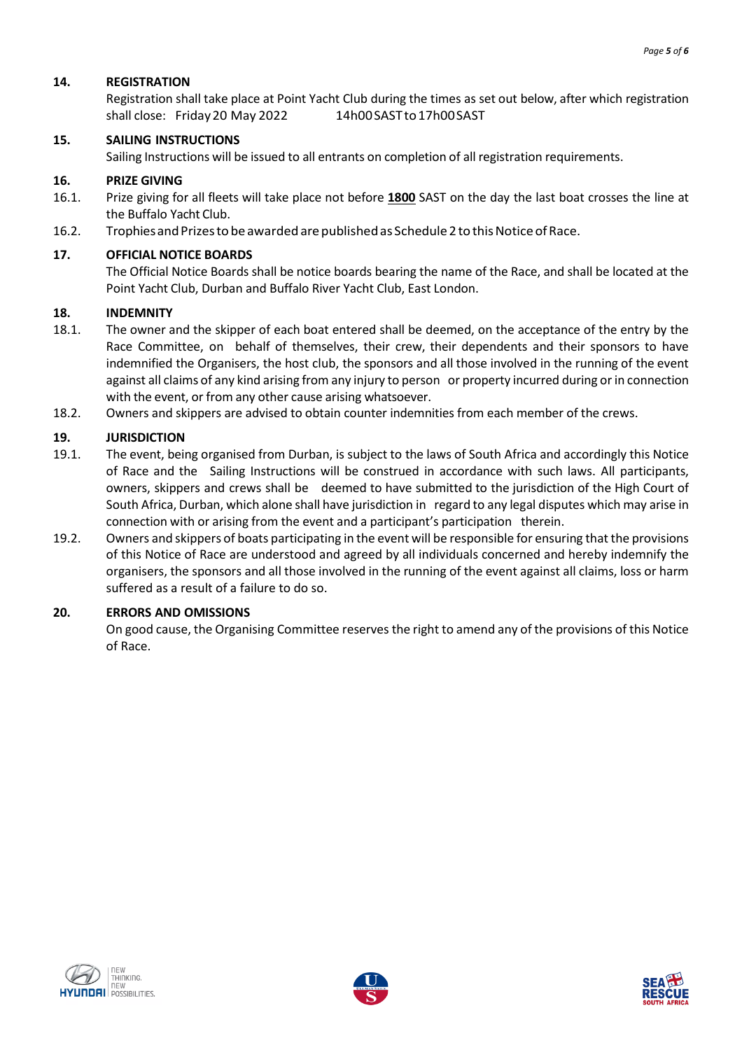#### **14. REGISTRATION**

Registration shall take place at Point Yacht Club during the times as set out below, after which registration shall close: Friday 20 May 2022 14h00 SAST to 17h00 SAST

#### **15. SAILING INSTRUCTIONS**

Sailing Instructions will be issued to all entrants on completion of all registration requirements.

#### **16. PRIZE GIVING**

- 16.1. Prize giving for all fleets will take place not before **1800** SAST on the day the last boat crosses the line at the Buffalo Yacht Club.
- 16.2. Trophies and Prizes to be awarded are published as Schedule 2 to this Notice of Race.

#### **17. OFFICIAL NOTICE BOARDS**

The Official Notice Boards shall be notice boards bearing the name of the Race, and shall be located at the Point Yacht Club, Durban and Buffalo River Yacht Club, East London.

#### **18. INDEMNITY**

- 18.1. The owner and the skipper of each boat entered shall be deemed, on the acceptance of the entry by the Race Committee, on behalf of themselves, their crew, their dependents and their sponsors to have indemnified the Organisers, the host club, the sponsors and all those involved in the running of the event against all claims of any kind arising from any injury to person or property incurred during or in connection with the event, or from any other cause arising whatsoever.
- 18.2. Owners and skippers are advised to obtain counter indemnities from each member of the crews.

#### **19. JURISDICTION**

- 19.1. The event, being organised from Durban, is subject to the laws of South Africa and accordingly this Notice of Race and the Sailing Instructions will be construed in accordance with such laws. All participants, owners, skippers and crews shall be deemed to have submitted to the jurisdiction of the High Court of South Africa, Durban, which alone shall have jurisdiction in regard to any legal disputes which may arise in connection with or arising from the event and a participant's participation therein.
- 19.2. Owners and skippers of boats participating in the event will be responsible for ensuring that the provisions of this Notice of Race are understood and agreed by all individuals concerned and hereby indemnify the organisers, the sponsors and all those involved in the running of the event against all claims, loss or harm suffered as a result of a failure to do so.

#### **20. ERRORS AND OMISSIONS**

On good cause, the Organising Committee reserves the right to amend any of the provisions of this Notice of Race.